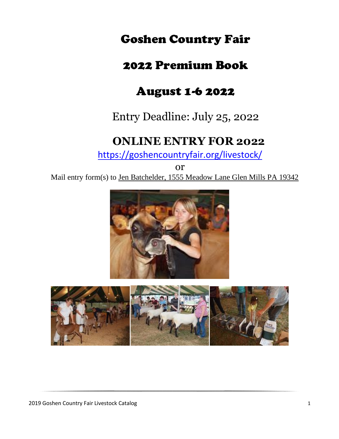## Goshen Country Fair

## 2022 Premium Book

## August 1-6 2022

## Entry Deadline: July 25, 2022

## **ONLINE ENTRY FOR 2022**

<https://goshencountryfair.org/livestock/>

or

Mail entry form(s) to Jen Batchelder, 1555 Meadow Lane Glen Mills PA 19342



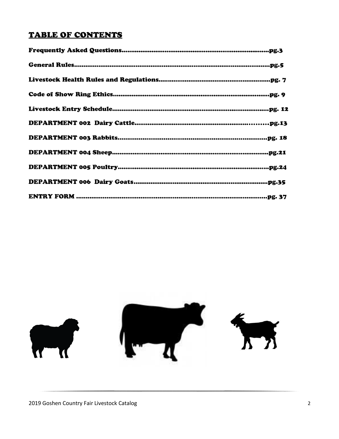### **TABLE OF CONTENTS**

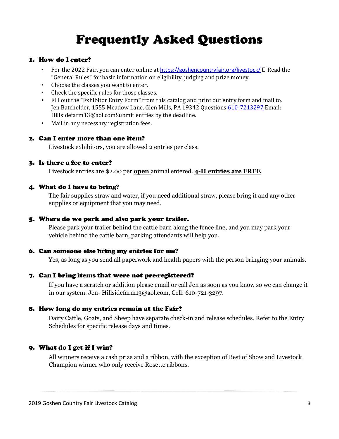## **Frequently Asked Questions**

### 1. How do I enter?

- For the 2022 Fair, you can enter online at <https://goshencountryfair.org/livestock/>  $\Box$  Read the "General Rules" for basic information on eligibility, judging and prize money.
- Choose the classes you want to enter.
- Check the specific rules for those classes.
- Fill out the "Exhibitor Entry Form" from this catalog and print out entry form and mail to. Jen Batchelder, 1555 Meadow Lane, Glen Mills, PA 19342 Questions 610-7213297 Email: Hillsidefarm13@aol.comSubmit entries by the deadline.
- Mail in any necessary registration fees.

#### 2. Can I enter more than one item?

Livestock exhibitors, you are allowed 2 entries per class.

#### 3. Is there a fee to enter?

Livestock entries are \$2.00 per **open** animal entered. **4-H entries are FREE**

#### 4. What do I have to bring?

The fair supplies straw and water, if you need additional straw, please bring it and any other supplies or equipment that you may need.

#### 5. Where do we park and also park your trailer.

Please park your trailer behind the cattle barn along the fence line, and you may park your vehicle behind the cattle barn, parking attendants will help you.

#### 6. Can someone else bring my entries for me?

Yes, as long as you send all paperwork and health papers with the person bringing your animals.

#### 7. Can I bring items that were not pre-registered?

If you have a scratch or addition please email or call Jen as soon as you know so we can change it in our system. Jen- Hillsidefarm13@aol.com, Cell: 610-721-3297.

#### 8. How long do my entries remain at the Fair?

Dairy Cattle, Goats, and Sheep have separate check-in and release schedules. Refer to the Entry Schedules for specific release days and times.

### 9. What do I get if I win?

All winners receive a cash prize and a ribbon, with the exception of Best of Show and Livestock Champion winner who only receive Rosette ribbons.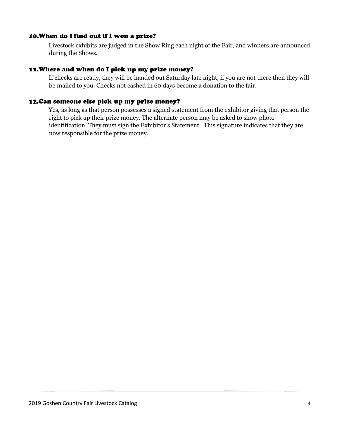### 10. When do I find out if I won a prize?

Livestock exhibits are judged in the Show Ring each night of the Fair, and winners are announced during the Shows.

### 11. Where and when do I pick up my prize money?

If checks are ready, they will be handed out Saturday late night, if you are not there then they will be mailed to you. Checks not cashed in 60 days become a donation to the fair.

#### 12. Can someone else pick up my prize money?

Yes, as long as that person possesses a signed statement from the exhibitor giving that person the right to pick up their prize money. The alternate person may be asked to show photo identification. They must sign the Exhibitor's Statement. This signature indicates that they are now responsible for the prize money.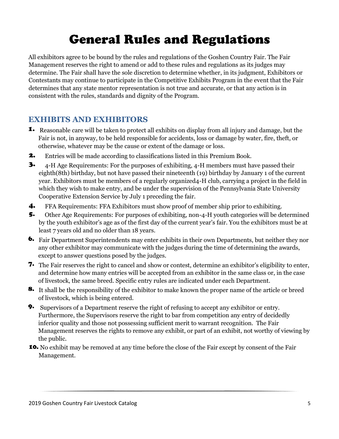## **General Rules and Regulations**

All exhibitors agree to be bound by the rules and regulations of the Goshen Country Fair. The Fair Management reserves the right to amend or add to these rules and regulations as its judges may determine. The Fair shall have the sole discretion to determine whether, in its judgment, Exhibitors or Contestants may continue to participate in the Competitive Exhibits Program in the event that the Fair determines that any state mentor representation is not true and accurate, or that any action is in consistent with the rules, standards and dignity of the Program.

### **EXHIBITS AND EXHIBITORS**

- **1.** Reasonable care will be taken to protect all exhibits on display from all injury and damage, but the Fair is not, in anyway, to be held responsible for accidents, loss or damage by water, fire, theft, or otherwise, whatever may be the cause or extent of the damage or loss.
- 2. Entries will be made according to classifications listed in this Premium Book.
- 3. 4-H Age Requirements: For the purposes of exhibiting, 4-H members must have passed their eighth(8th) birthday, but not have passed their nineteenth (19) birthday by January 1 of the current year. Exhibitors must be members of a regularly organized4-H club, carrying a project in the field in which they wish to make entry, and be under the supervision of the Pennsylvania State University Cooperative Extension Service by July 1 preceding the fair.
- 4. FFA Requirements: FFA Exhibitors must show proof of member ship prior to exhibiting.
- 5. Other Age Requirements: For purposes of exhibiting, non-4-H youth categories will be determined by the youth exhibitor's age as of the first day of the current year's fair. You the exhibitors must be at least 7 years old and no older than 18 years.
- **6.** Fair Department Superintendents may enter exhibits in their own Departments, but neither they nor any other exhibitor may communicate with the judges during the time of determining the awards, except to answer questions posed by the judges.
- **7.** The Fair reserves the right to cancel and show or contest, determine an exhibitor's eligibility to enter, and determine how many entries will be accepted from an exhibitor in the same class or, in the case of livestock, the same breed. Specific entry rules are indicated under each Department.
- **8.** It shall be the responsibility of the exhibitor to make known the proper name of the article or breed of livestock, which is being entered.
- **9.** Supervisors of a Department reserve the right of refusing to accept any exhibitor or entry. Furthermore, the Supervisors reserve the right to bar from competition any entry of decidedly inferior quality and those not possessing sufficient merit to warrant recognition. The Fair Management reserves the rights to remove any exhibit, or part of an exhibit, not worthy of viewing by the public.
- 10. No exhibit may be removed at any time before the close of the Fair except by consent of the Fair Management.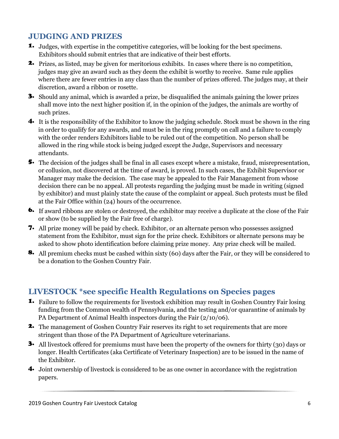### **JUDGING AND PRIZES**

- **1.** Judges, with expertise in the competitive categories, will be looking for the best specimens. Exhibitors should submit entries that are indicative of their best efforts.
- Prizes, as listed, may be given for meritorious exhibits. In cases where there is no competition, judges may give an award such as they deem the exhibit is worthy to receive. Same rule applies where there are fewer entries in any class than the number of prizes offered. The judges may, at their discretion, award a ribbon or rosette.
- **3.** Should any animal, which is awarded a prize, be disqualified the animals gaining the lower prizes shall move into the next higher position if, in the opinion of the judges, the animals are worthy of such prizes.
- It is the responsibility of the Exhibitor to know the judging schedule. Stock must be shown in the ring in order to qualify for any awards, and must be in the ring promptly on call and a failure to comply with the order renders Exhibitors liable to be ruled out of the competition. No person shall be allowed in the ring while stock is being judged except the Judge, Supervisors and necessary attendants.
- The decision of the judges shall be final in all cases except where a mistake, fraud, misrepresentation, or collusion, not discovered at the time of award, is proved. In such cases, the Exhibit Supervisor or Manager may make the decision. The case may be appealed to the Fair Management from whose decision there can be no appeal. All protests regarding the judging must be made in writing (signed by exhibitor) and must plainly state the cause of the complaint or appeal. Such protests must be filed at the Fair Office within (24) hours of the occurrence.
- **6.** If award ribbons are stolen or destroyed, the exhibitor may receive a duplicate at the close of the Fair or show (to be supplied by the Fair free of charge).
- All prize money will be paid by check. Exhibitor, or an alternate person who possesses assigned statement from the Exhibitor, must sign for the prize check. Exhibitors or alternate persons may be asked to show photo identification before claiming prize money. Any prize check will be mailed.
- **8.** All premium checks must be cashed within sixty (60) days after the Fair, or they will be considered to be a donation to the Goshen Country Fair.

### **LIVESTOCK \*see specific Health Regulations on Species pages**

- **1.** Failure to follow the requirements for livestock exhibition may result in Goshen Country Fair losing funding from the Common wealth of Pennsylvania, and the testing and/or quarantine of animals by PA Department of Animal Health inspectors during the Fair (2/10/06).
- **2.** The management of Goshen Country Fair reserves its right to set requirements that are more stringent than those of the PA Department of Agriculture veterinarians.
- **3.** All livestock offered for premiums must have been the property of the owners for thirty (30) days or longer. Health Certificates (aka Certificate of Veterinary Inspection) are to be issued in the name of the Exhibitor.
- Joint ownership of livestock is considered to be as one owner in accordance with the registration papers.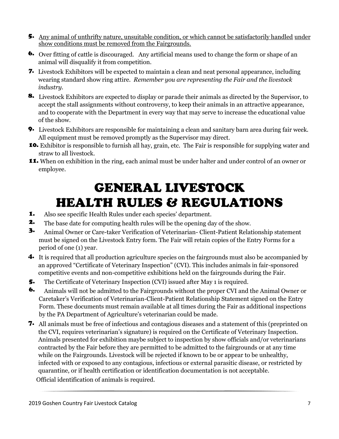- Any animal of unthrifty nature, unsuitable condition, or which cannot be satisfactorily handled under show conditions must be removed from the Fairgrounds.
- **6.** Over fitting of cattle is discouraged. Any artificial means used to change the form or shape of an animal will disqualify it from competition.
- Livestock Exhibitors will be expected to maintain a clean and neat personal appearance, including wearing standard show ring attire. *Remember you are representing the Fair and the livestock industry.*
- **8.** Livestock Exhibitors are expected to display or parade their animals as directed by the Supervisor, to accept the stall assignments without controversy, to keep their animals in an attractive appearance, and to cooperate with the Department in every way that may serve to increase the educational value of the show.
- Livestock Exhibitors are responsible for maintaining a clean and sanitary barn area during fair week. All equipment must be removed promptly as the Supervisor may direct.
- Exhibitor is responsible to furnish all hay, grain, etc. The Fair is responsible for supplying water and straw to all livestock.
- When on exhibition in the ring, each animal must be under halter and under control of an owner or employee.

## **GENERAL LIVESTOCK HEALTH RULES & REGULATIONS**

- ı. Also see specific Health Rules under each species' department.
- 2. The base date for computing health rules will be the opening day of the show.
- 3. Animal Owner or Care-taker Verification of Veterinarian- Client-Patient Relationship statement must be signed on the Livestock Entry form. The Fair will retain copies of the Entry Forms for a period of one (1) year.
- It is required that all production agriculture species on the fairgrounds must also be accompanied by an approved "Certificate of Veterinary Inspection" (CVI). This includes animals in fair-sponsored competitive events and non-competitive exhibitions held on the fairgrounds during the Fair.
- 5. The Certificate of Veterinary Inspection (CVI) issued after May 1 is required.
- 6. Animals will not be admitted to the Fairgrounds without the proper CVI and the Animal Owner or Caretaker's Verification of Veterinarian-Client-Patient Relationship Statement signed on the Entry Form. These documents must remain available at all times during the Fair as additional inspections by the PA Department of Agriculture's veterinarian could be made.
- All animals must be free of infectious and contagious diseases and a statement of this (preprinted on the CVI, requires veterinarian's signature) is required on the Certificate of Veterinary Inspection. Animals presented for exhibition maybe subject to inspection by show officials and/or veterinarians contracted by the Fair before they are permitted to be admitted to the fairgrounds or at any time while on the Fairgrounds. Livestock will be rejected if known to be or appear to be unhealthy, infected with or exposed to any contagious, infectious or external parasitic disease, or restricted by quarantine, or if health certification or identification documentation is not acceptable. Official identification of animals is required.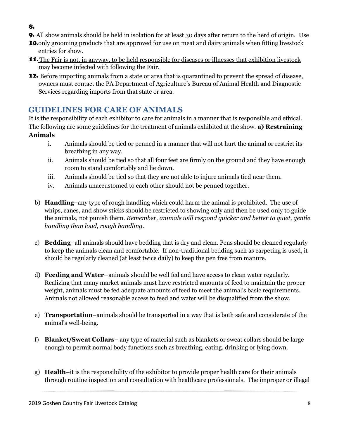### 8.

- All show animals should be held in isolation for at least 30 days after return to the herd of origin. Use
- **10.** only grooming products that are approved for use on meat and dairy animals when fitting livestock entries for show.
- **11.** The Fair is not, in anyway, to be held responsible for diseases or illnesses that exhibition livestock may become infected with following the Fair.
- 12. Before importing animals from a state or area that is quarantined to prevent the spread of disease, owners must contact the PA Department of Agriculture's Bureau of Animal Health and Diagnostic Services regarding imports from that state or area.

### **GUIDELINES FOR CARE OF ANIMALS**

It is the responsibility of each exhibitor to care for animals in a manner that is responsible and ethical. The following are some guidelines for the treatment of animals exhibited at the show. **a) Restraining Animals** 

- i. Animals should be tied or penned in a manner that will not hurt the animal or restrict its breathing in any way.
- ii. Animals should be tied so that all four feet are firmly on the ground and they have enough room to stand comfortably and lie down.
- iii. Animals should be tied so that they are not able to injure animals tied near them.
- iv. Animals unaccustomed to each other should not be penned together.
- b) **Handling**–any type of rough handling which could harm the animal is prohibited. The use of whips, canes, and show sticks should be restricted to showing only and then be used only to guide the animals, not punish them. *Remember, animals will respond quicker and better to quiet, gentle handling than loud, rough handling.*
- c) **Bedding**–all animals should have bedding that is dry and clean. Pens should be cleaned regularly to keep the animals clean and comfortable. If non-traditional bedding such as carpeting is used, it should be regularly cleaned (at least twice daily) to keep the pen free from manure.
- d) **Feeding and Water–**animals should be well fed and have access to clean water regularly. Realizing that many market animals must have restricted amounts of feed to maintain the proper weight, animals must be fed adequate amounts of feed to meet the animal's basic requirements. Animals not allowed reasonable access to feed and water will be disqualified from the show.
- e) **Transportation**–animals should be transported in a way that is both safe and considerate of the animal's well-being.
- f) **Blanket/Sweat Collars** any type of material such as blankets or sweat collars should be large enough to permit normal body functions such as breathing, eating, drinking or lying down.
- g) **Health**–it is the responsibility of the exhibitor to provide proper health care for their animals through routine inspection and consultation with healthcare professionals. The improper or illegal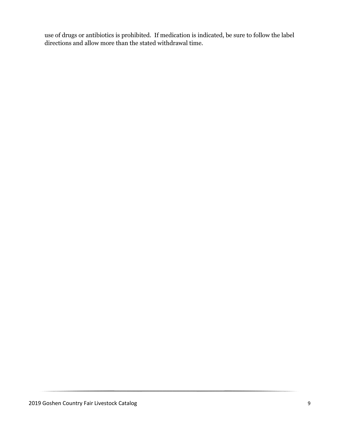use of drugs or antibiotics is prohibited. If medication is indicated, be sure to follow the label directions and allow more than the stated withdrawal time.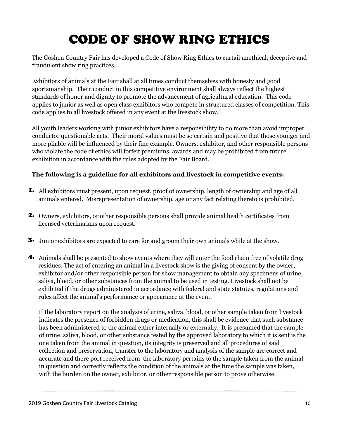# **CODE OF SHOW RING ETHICS**

The Goshen Country Fair has developed a Code of Show Ring Ethics to curtail unethical, deceptive and fraudulent show ring practices.

Exhibitors of animals at the Fair shall at all times conduct themselves with honesty and good sportsmanship. Their conduct in this competitive environment shall always reflect the highest standards of honor and dignity to promote the advancement of agricultural education. This code applies to junior as well as open class exhibitors who compete in structured classes of competition. This code applies to all livestock offered in any event at the livestock show.

All youth leaders working with junior exhibitors have a responsibility to do more than avoid improper conductor questionable acts. Their moral values must be so certain and positive that those younger and more pliable will be influenced by their fine example. Owners, exhibitor, and other responsible persons who violate the code of ethics will forfeit premiums, awards and may be prohibited from future exhibition in accordance with the rules adopted by the Fair Board.

### **The following is a guideline for all exhibitors and livestock in competitive events:**

- **1.** All exhibitors must present, upon request, proof of ownership, length of ownership and age of all animals entered. Misrepresentation of ownership, age or any fact relating thereto is prohibited.
- 2. Owners, exhibitors, or other responsible persons shall provide animal health certificates from licensed veterinarians upon request.
- **3.** Junior exhibitors are expected to care for and groom their own animals while at the show.
- Animals shall be presented to show events where they will enter the food chain free of volatile drug residues. The act of entering an animal in a livestock show is the giving of consent by the owner, exhibitor and/or other responsible person for show management to obtain any specimens of urine, saliva, blood, or other substances from the animal to be used in testing. Livestock shall not be exhibited if the drugs administered in accordance with federal and state statutes, regulations and rules affect the animal's performance or appearance at the event.

If the laboratory report on the analysis of urine, saliva, blood, or other sample taken from livestock indicates the presence of forbidden drugs or medication, this shall be evidence that such substance has been administered to the animal either internally or externally. It is presumed that the sample of urine, saliva, blood, or other substance tested by the approved laboratory to which it is sent is the one taken from the animal in question, its integrity is preserved and all procedures of said collection and preservation, transfer to the laboratory and analysis of the sample are correct and accurate and there port received from the laboratory pertains to the sample taken from the animal in question and correctly reflects the condition of the animals at the time the sample was taken, with the burden on the owner, exhibitor, or other responsible person to prove otherwise.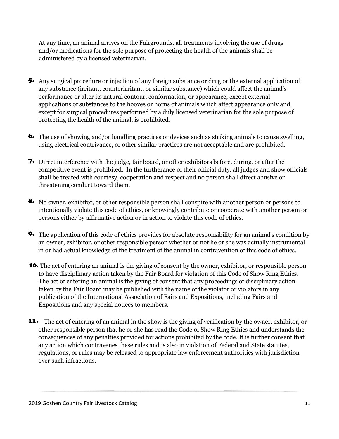At any time, an animal arrives on the Fairgrounds, all treatments involving the use of drugs and/or medications for the sole purpose of protecting the health of the animals shall be administered by a licensed veterinarian.

- Any surgical procedure or injection of any foreign substance or drug or the external application of any substance (irritant, counterirritant, or similar substance) which could affect the animal's performance or alter its natural contour, conformation, or appearance, except external applications of substances to the hooves or horns of animals which affect appearance only and except for surgical procedures performed by a duly licensed veterinarian for the sole purpose of protecting the health of the animal, is prohibited.
- **6.** The use of showing and/or handling practices or devices such as striking animals to cause swelling, using electrical contrivance, or other similar practices are not acceptable and are prohibited.
- Direct interference with the judge, fair board, or other exhibitors before, during, or after the competitive event is prohibited. In the furtherance of their official duty, all judges and show officials shall be treated with courtesy, cooperation and respect and no person shall direct abusive or threatening conduct toward them.
- 8. No owner, exhibitor, or other responsible person shall conspire with another person or persons to intentionally violate this code of ethics, or knowingly contribute or cooperate with another person or persons either by affirmative action or in action to violate this code of ethics.
- **9.** The application of this code of ethics provides for absolute responsibility for an animal's condition by an owner, exhibitor, or other responsible person whether or not he or she was actually instrumental in or had actual knowledge of the treatment of the animal in contravention of this code of ethics.
- **10.** The act of entering an animal is the giving of consent by the owner, exhibitor, or responsible person to have disciplinary action taken by the Fair Board for violation of this Code of Show Ring Ethics. The act of entering an animal is the giving of consent that any proceedings of disciplinary action taken by the Fair Board may be published with the name of the violator or violators in any publication of the International Association of Fairs and Expositions, including Fairs and Expositions and any special notices to members.
- The act of entering of an animal in the show is the giving of verification by the owner, exhibitor, or other responsible person that he or she has read the Code of Show Ring Ethics and understands the consequences of any penalties provided for actions prohibited by the code. It is further consent that any action which contravenes these rules and is also in violation of Federal and State statutes, regulations, or rules may be released to appropriate law enforcement authorities with jurisdiction over such infractions.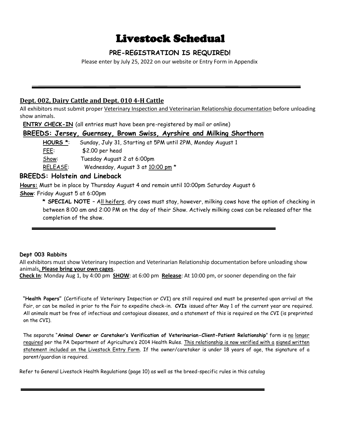## Livestock Schedual

### **PRE-REGISTRATION IS REQUIRED!**

Please enter by July 25, 2022 on our website or Entry Form in Appendix

### **Dept. 002, Dairy Cattle and Dept. 010 4-H Cattle**

All exhibitors must submit proper Veterinary Inspection and Veterinarian Relationship documentation before unloading show animals.

**ENTRY CHECK-IN** (all entries must have been pre-registered by mail or online)

### **BREEDS: Jersey, Guernsey, Brown Swiss, Ayrshire and Milking Shorthorn**

| HOURS *:        | Sunday, July 31, Starting at 5PM until 2PM, Monday August 1 |
|-----------------|-------------------------------------------------------------|
| FEE:            | $$2.00$ per head                                            |
| Show:           | Tuesday August 2 at 6:00pm                                  |
| <b>RELEASE:</b> | Wednesday, August 3 at 10:00 pm *                           |

### **BREEDS: Holstein and Lineback**

**Hours:** Must be in place by Thursday August 4 and remain until 10:00pm Saturday August 6 **Show**: Friday August 5 at 6:00pm

**\* SPECIAL NOTE** – All heifers, dry cows must stay, however, milking cows have the option of checking in between 8:00 am and 2:00 PM on the day of their Show. Actively milking cows can be released after the completion of the show.

#### **Dept 003 Rabbits**

All exhibitors must show Veterinary Inspection and Veterinarian Relationship documentation before unloading show animals**. Please bring your own cages**.

**Check In**: Monday Aug 1, by 4:00 pm **SHOW**: at 6:00 pm **Release**: At 10:00 pm, or sooner depending on the fair

**"Health Papers"** (Certificate of Veterinary Inspection or CVI) are still required and must be presented upon arrival at the Fair, or can be mailed in prior to the Fair to expedite check-in. **CVIs** issued after May 1 of the current year are required. All animals must be free of infectious and contagious diseases, and a statement of this is required on the CVI (is preprinted on the CVI).

The separate "**Animal Owner or Caretaker's Verification of Veterinarian-Client-Patient Relationship**" form is no longer required per the PA Department of Agriculture's 2014 Health Rules. This relationship is now verified with a signed written statement included on the Livestock Entry Form. If the owner/caretaker is under 18 years of age, the signature of a parent/guardian is required.

Refer to General Livestock Health Regulations (page 10) as well as the breed-specific rules in this catalog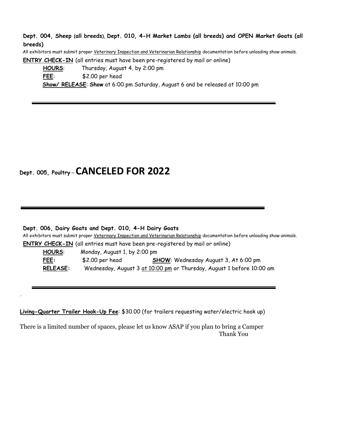**Dept. 004, Sheep (all breeds)**, **Dept. 010, 4-H Market Lambs (all breeds) and OPEN Market Goats (all breeds)**

All exhibitors must submit proper Veterinary Inspection and Veterinarian Relationship documentation before unloading show animals. **ENTRY CHECK-IN** (all entries must have been pre-registered by mail or online)

**HOURS**: Thursday, August 4, by 2:00 pm **FEE**: \$2.00 per head **Show/ RELEASE**: **Show** at 6:00 pm Saturday, August 6 and be released at 10:00 pm

## **Dept. 005, Poultry** –**CANCELED FOR 2022**

#### **Dept. 006, Dairy Goats and Dept. 010, 4-H Dairy Goats**

.

All exhibitors must submit proper Veterinary Inspection and Veterinarian Relationship documentation before unloading show animals.

**ENTRY CHECK-IN** (all entries must have been pre-registered by mail or online)

**HOURS**: Monday, August 1, by 2:00 pm **FEE:** \$2.00 per head **SHOW**: Wednesday August 3, At 6:00 pm **RELEASE:** Wednesday, August 3 at 10:00 pm or Thursday, August 1 before 10:00 am

**Living-Quarter Trailer Hook-Up Fee**: \$30.00 (for trailers requesting water/electric hook up)

There is a limited number of spaces, please let us know ASAP if you plan to bring a Camper Thank You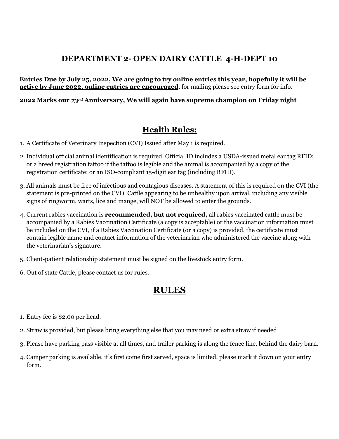### **DEPARTMENT 2- OPEN DAIRY CATTLE 4-H-DEPT 10**

**Entries Due by July 25, 2022, We are going to try online entries this year, hopefully it will be active by June 2022, online entries are encouraged**, for mailing please see entry form for info.

### **2022 Marks our** *73rd* **Anniversary, We will again have supreme champion on Friday night**

### **Health Rules:**

- 1. A Certificate of Veterinary Inspection (CVI) Issued after May 1 is required.
- 2. Individual official animal identification is required. Official ID includes a USDA-issued metal ear tag RFID; or a breed registration tattoo if the tattoo is legible and the animal is accompanied by a copy of the registration certificate; or an ISO-compliant 15-digit ear tag (including RFID).
- 3. All animals must be free of infectious and contagious diseases. A statement of this is required on the CVI (the statement is pre-printed on the CVI). Cattle appearing to be unhealthy upon arrival, including any visible signs of ringworm, warts, lice and mange, will NOT be allowed to enter the grounds.
- 4. Current rabies vaccination is **recommended, but not required,** all rabies vaccinated cattle must be accompanied by a Rabies Vaccination Certificate (a copy is acceptable) or the vaccination information must be included on the CVI, if a Rabies Vaccination Certificate (or a copy) is provided, the certificate must contain legible name and contact information of the veterinarian who administered the vaccine along with the veterinarian's signature.
- 5. Client-patient relationship statement must be signed on the livestock entry form.
- 6. Out of state Cattle, please contact us for rules.

### **RULES**

- 1. Entry fee is \$2.00 per head.
- 2. Straw is provided, but please bring everything else that you may need or extra straw if needed
- 3. Please have parking pass visible at all times, and trailer parking is along the fence line, behind the dairy barn.
- 4. Camper parking is available, it's first come first served, space is limited, please mark it down on your entry form.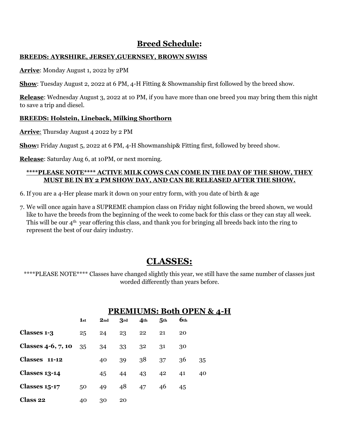### **Breed Schedule:**

### **BREEDS: AYRSHIRE, JERSEY,GUERNSEY, BROWN SWISS**

**Arrive**: Monday August 1, 2022 by 2PM

**Show**: Tuesday August 2, 2022 at 6 PM, 4-H Fitting & Showmanship first followed by the breed show.

**Release**: Wednesday August 3, 2022 at 10 PM, if you have more than one breed you may bring them this night to save a trip and diesel.

### **BREEDS: Holstein, Lineback, Milking Shorthorn**

**Arrive**: Thursday August 4 2022 by 2 PM

**Show:** Friday August 5, 2022 at 6 PM, 4-H Showmanship& Fitting first, followed by breed show.

**Release**: Saturday Aug 6, at 10PM, or next morning.

### **\*\*\*\*PLEASE NOTE\*\*\*\* ACTIVE MILK COWS CAN COME IN THE DAY OF THE SHOW, THEY MUST BE IN BY 2 PM SHOW DAY, AND CAN BE RELEASED AFTER THE SHOW.**

- 6. If you are a 4-Her please mark it down on your entry form, with you date of birth & age
- 7. We will once again have a SUPREME champion class on Friday night following the breed shown, we would like to have the breeds from the beginning of the week to come back for this class or they can stay all week. This will be our  $4<sup>th</sup>$  year offering this class, and thank you for bringing all breeds back into the ring to represent the best of our dairy industry.

### **CLASSES:**

\*\*\*\*PLEASE NOTE\*\*\*\* Classes have changed slightly this year, we still have the same number of classes just worded differently than years before.

|                      |                 |     |     |                 |                 |                 | <b>PREMIUMS: Both OPEN &amp; 4-H</b> |
|----------------------|-----------------|-----|-----|-----------------|-----------------|-----------------|--------------------------------------|
|                      | 1 <sub>st</sub> | 2nd | 3rd | 4 <sub>th</sub> | 5 <sup>th</sup> | 6 <sub>th</sub> |                                      |
| Classes 1-3          | 25              | 24  | 23  | 22              | 21              | 20              |                                      |
| Classes 4-6, 7, 10   | 35              | 34  | 33  | 32              | 31              | 30              |                                      |
| Classes 11-12        |                 | 40  | 39  | 38              | 37              | 36              | 35                                   |
| <b>Classes 13-14</b> |                 | 45  | 44  | 43              | 42              | 41              | 40                                   |
| <b>Classes 15-17</b> | 50              | 49  | 48  | 47              | 46              | 45              |                                      |
| Class 22             | 40              | 30  | 20  |                 |                 |                 |                                      |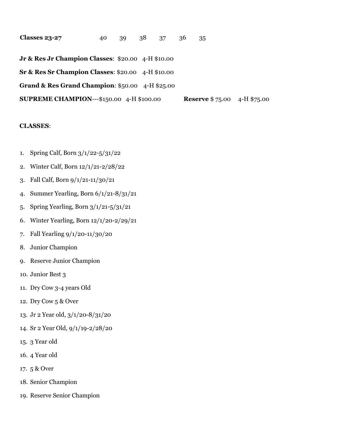**Classes 23-27** 40 39 38 37 36 35 **Jr & Res Jr Champion Classes**: \$20.00 4-H \$10.00 **Sr & Res Sr Champion Classes**: \$20.00 4-H \$10.00 **Grand & Res Grand Champion**: \$50.00 4-H \$25.00 **SUPREME CHAMPION**---\$150.00 4-H \$100.00 **Reserve** \$ 75.00 4-H \$75.00

#### **CLASSES**:

- 1. Spring Calf, Born 3/1/22-5/31/22
- 2. Winter Calf, Born 12/1/21-2/28/22
- 3. Fall Calf, Born 9/1/21-11/30/21
- 4. Summer Yearling, Born 6/1/21-8/31/21
- 5. Spring Yearling, Born 3/1/21-5/31/21
- 6. Winter Yearling, Born 12/1/20-2/29/21
- 7. Fall Yearling 9/1/20-11/30/20
- 8. Junior Champion
- 9. Reserve Junior Champion
- 10. Junior Best 3
- 11. Dry Cow 3-4 years Old
- 12. Dry Cow 5 & Over
- 13. Jr 2 Year old, 3/1/20-8/31/20
- 14. Sr 2 Year Old, 9/1/19-2/28/20
- 15. 3 Year old
- 16. 4 Year old
- 17. 5 & Over
- 18. Senior Champion
- 19. Reserve Senior Champion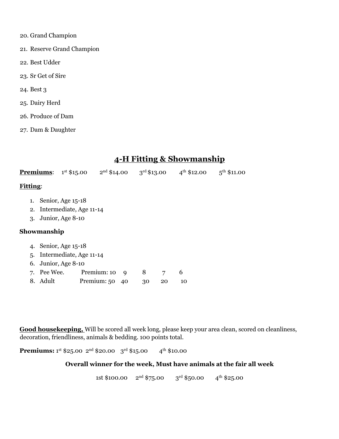- 20. Grand Champion
- 21. Reserve Grand Champion
- 22. Best Udder
- 23. Sr Get of Sire
- 24. Best 3
- 25. Dairy Herd
- 26. Produce of Dam
- 27. Dam & Daughter

### **4-H Fitting & Showmanship**

|                 |             | <b>Premiums:</b> $1^{st}$ \$15.00                                         |                        |   | $2nd $14.00$ $3rd $13.00$ |         | $4^{\text{th}}$ \$12.00 | $5^{th}$ \$11.00 |  |
|-----------------|-------------|---------------------------------------------------------------------------|------------------------|---|---------------------------|---------|-------------------------|------------------|--|
| <b>Fitting:</b> |             |                                                                           |                        |   |                           |         |                         |                  |  |
|                 |             | 1. Senior, Age 15-18<br>2. Intermediate, Age 11-14<br>3. Junior, Age 8-10 |                        |   |                           |         |                         |                  |  |
|                 | Showmanship |                                                                           |                        |   |                           |         |                         |                  |  |
|                 |             | 4. Senior, Age 15-18<br>5. Intermediate, Age 11-14                        |                        |   |                           |         |                         |                  |  |
|                 |             | 6. Junior, Age 8-10                                                       |                        |   |                           |         |                         |                  |  |
|                 | 8. Adult    | 7. Pee Wee. Premium: 10                                                   | Premium: $50 \quad 40$ | 9 | 8<br>30                   | 7<br>20 | 6<br>10                 |                  |  |

**Good housekeeping,** Will be scored all week long, please keep your area clean, scored on cleanliness, decoration, friendliness, animals & bedding. 100 points total.

**Premiums:**  $1^{st}$  \$25.00  $2^{nd}$  \$20.00  $3^{rd}$  \$15.00  $4^{th}$  \$10.00

### **Overall winner for the week, Must have animals at the fair all week**

1st \$100.00 2<sup>nd</sup> \$75.00 3<sup>rd</sup> \$50.00 4<sup>th</sup> \$25.00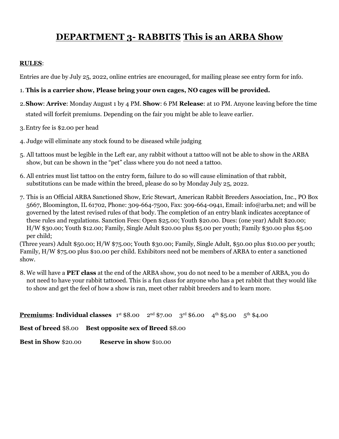## **DEPARTMENT 3- RABBITS This is an ARBA Show**

### **RULES**:

Entries are due by July 25, 2022, online entries are encouraged, for mailing please see entry form for info.

### 1. **This is a carrier show, Please bring your own cages, NO cages will be provided.**

- 2.**Show**: **Arrive**: Monday August 1 by 4 PM. **Show**: 6 PM **Release**: at 10 PM. Anyone leaving before the time stated will forfeit premiums. Depending on the fair you might be able to leave earlier.
- 3.Entry fee is \$2.00 per head
- 4. Judge will eliminate any stock found to be diseased while judging
- 5. All tattoos must be legible in the Left ear, any rabbit without a tattoo will not be able to show in the ARBA show, but can be shown in the "pet" class where you do not need a tattoo.
- 6. All entries must list tattoo on the entry form, failure to do so will cause elimination of that rabbit, substitutions can be made within the breed, please do so by Monday July 25, 2022.
- 7. This is an Official ARBA Sanctioned Show, Eric Stewart, American Rabbit Breeders Association, Inc., PO Box 5667, Bloomington, IL 61702, Phone: 309-664-7500, Fax: 309-664-0941, Email: info@arba.net; and will be governed by the latest revised rules of that body. The completion of an entry blank indicates acceptance of these rules and regulations. Sanction Fees: Open \$25.00; Youth \$20.00. Dues: (one year) Adult \$20.00; H/W \$30.00; Youth \$12.00; Family, Single Adult \$20.00 plus \$5.00 per youth; Family \$30.00 plus \$5.00 per child;

(Three years) Adult \$50.00; H/W \$75.00; Youth \$30.00; Family, Single Adult, \$50.00 plus \$10.00 per youth; Family, H/W \$75.00 plus \$10.00 per child. Exhibitors need not be members of ARBA to enter a sanctioned show.

8. We will have a **PET class** at the end of the ARBA show, you do not need to be a member of ARBA, you do not need to have your rabbit tattooed. This is a fun class for anyone who has a pet rabbit that they would like to show and get the feel of how a show is ran, meet other rabbit breeders and to learn more.

**Premiums: Individual classes** 1st \$8.00 2<sup>nd</sup> \$7.00 3<sup>rd</sup> \$6.00 4<sup>th</sup> \$5.00 5<sup>th</sup> \$4.00

**Best of breed** \$8.00 **Best opposite sex of Breed** \$8.00

**Best in Show** \$20.00 **Reserve in show** \$10.00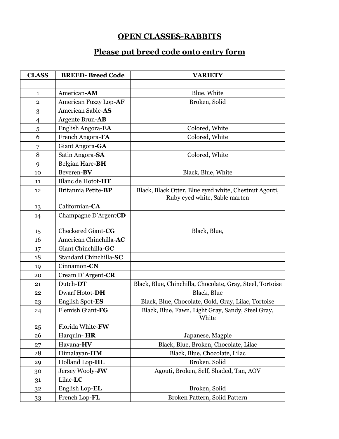## **OPEN CLASSES-RABBITS**

## **Please put breed code onto entry form**

| <b>CLASS</b>   | <b>BREED-Breed Code</b> | <b>VARIETY</b>                                                                         |
|----------------|-------------------------|----------------------------------------------------------------------------------------|
|                |                         |                                                                                        |
| $\mathbf{1}$   | American-AM             | Blue, White                                                                            |
| $\overline{2}$ | American Fuzzy Lop-AF   | Broken, Solid                                                                          |
| 3              | American Sable-AS       |                                                                                        |
| $\overline{4}$ | Argente Brun-AB         |                                                                                        |
| 5              | English Angora-EA       | Colored, White                                                                         |
| 6              | French Angora-FA        | Colored, White                                                                         |
| 7              | Giant Angora-GA         |                                                                                        |
| 8              | Satin Angora-SA         | Colored, White                                                                         |
| 9              | Belgian Hare-BH         |                                                                                        |
| 10             | Beveren-BV              | Black, Blue, White                                                                     |
| 11             | Blanc de Hotot-HT       |                                                                                        |
| 12             | Britannia Petite-BP     | Black, Black Otter, Blue eyed white, Chestnut Agouti,<br>Ruby eyed white, Sable marten |
| 13             | Californian-CA          |                                                                                        |
| 14             | Champagne D'ArgentCD    |                                                                                        |
| 15             | Checkered Giant-CG      | Black, Blue,                                                                           |
| 16             | American Chinchilla-AC  |                                                                                        |
| 17             | Giant Chinchilla-GC     |                                                                                        |
| 18             | Standard Chinchilla-SC  |                                                                                        |
| 19             | Cinnamon-CN             |                                                                                        |
| 20             | Cream D'Argent-CR       |                                                                                        |
| 21             | Dutch-DT                | Black, Blue, Chinchilla, Chocolate, Gray, Steel, Tortoise                              |
| 22             | Dwarf Hotot-DH          | Black, Blue                                                                            |
| 23             | English Spot-ES         | Black, Blue, Chocolate, Gold, Gray, Lilac, Tortoise                                    |
| 24             | Flemish Giant-FG        | Black, Blue, Fawn, Light Gray, Sandy, Steel Gray,<br><b>Example 18</b> White           |
| 25             | Florida White-FW        |                                                                                        |
| 26             | Harquin-HR              | Japanese, Magpie                                                                       |
| 27             | Havana-HV               | Black, Blue, Broken, Chocolate, Lilac                                                  |
| 28             | Himalayan-HM            | Black, Blue, Chocolate, Lilac                                                          |
| 29             | Holland Lop-HL          | Broken, Solid                                                                          |
| 30             | Jersey Wooly-JW         | Agouti, Broken, Self, Shaded, Tan, AOV                                                 |
| 31             | Lilac-LC                |                                                                                        |
| 32             | English Lop-EL          | Broken, Solid                                                                          |
| 33             | French Lop-FL           | Broken Pattern, Solid Pattern                                                          |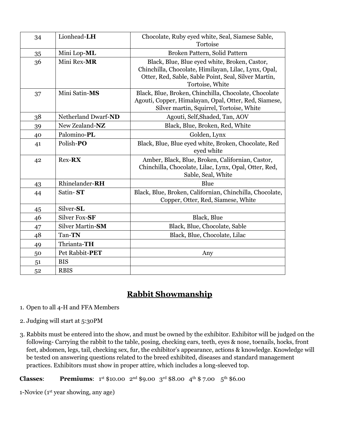| 34 | Lionhead-LH         | Chocolate, Ruby eyed white, Seal, Siamese Sable,<br>Tortoise                                                                                                                     |
|----|---------------------|----------------------------------------------------------------------------------------------------------------------------------------------------------------------------------|
| 35 | Mini Lop-ML         | Broken Pattern, Solid Pattern                                                                                                                                                    |
| 36 | Mini Rex-MR         | Black, Blue, Blue eyed white, Broken, Castor,<br>Chinchilla, Chocolate, Himilayan, Lilac, Lynx, Opal,<br>Otter, Red, Sable, Sable Point, Seal, Silver Martin,<br>Tortoise, White |
| 37 | Mini Satin-MS       | Black, Blue, Broken, Chinchilla, Chocolate, Chocolate<br>Agouti, Copper, Himalayan, Opal, Otter, Red, Siamese,<br>Silver martin, Squirrel, Tortoise, White                       |
| 38 | Netherland Dwarf-ND | Agouti, Self, Shaded, Tan, AOV                                                                                                                                                   |
| 39 | New Zealand-NZ      | Black, Blue, Broken, Red, White                                                                                                                                                  |
| 40 | Palomino-PL         | Golden, Lynx                                                                                                                                                                     |
| 41 | Polish-PO           | Black, Blue, Blue eyed white, Broken, Chocolate, Red<br>eyed white                                                                                                               |
| 42 | <b>Rex-RX</b>       | Amber, Black, Blue, Broken, Californian, Castor,<br>Chinchilla, Chocolate, Lilac, Lynx, Opal, Otter, Red,<br>Sable, Seal, White                                                  |
| 43 | Rhinelander-RH      | Blue                                                                                                                                                                             |
| 44 | Satin-ST            | Black, Blue, Broken, Californian, Chinchilla, Chocolate,<br>Copper, Otter, Red, Siamese, White                                                                                   |
| 45 | Silver-SL           |                                                                                                                                                                                  |
| 46 | Silver Fox-SF       | Black, Blue                                                                                                                                                                      |
| 47 | Silver Martin-SM    | Black, Blue, Chocolate, Sable                                                                                                                                                    |
| 48 | Tan-TN              | Black, Blue, Chocolate, Lilac                                                                                                                                                    |
| 49 | Thrianta-TH         |                                                                                                                                                                                  |
| 50 | Pet Rabbit-PET      | Any                                                                                                                                                                              |
| 51 | <b>BIS</b>          |                                                                                                                                                                                  |
| 52 | <b>RBIS</b>         |                                                                                                                                                                                  |

### **Rabbit Showmanship**

- 1. Open to all 4-H and FFA Members
- 2. Judging will start at 5:30PM
- 3. Rabbits must be entered into the show, and must be owned by the exhibitor. Exhibitor will be judged on the following- Carrying the rabbit to the table, posing, checking ears, teeth, eyes & nose, toenails, hocks, front feet, abdomen, legs, tail, checking sex, fur, the exhibitor's appearance, actions & knowledge. Knowledge will be tested on answering questions related to the breed exhibited, diseases and standard management practices. Exhibitors must show in proper attire, which includes a long-sleeved top.

**Classes: Premiums**:  $1^{st}$  \$10.00  $2^{nd}$  \$9.00  $3^{rd}$  \$8.00  $4^{th}$  \$ 7.00  $5^{th}$  \$6.00

1-Novice (1st year showing, any age)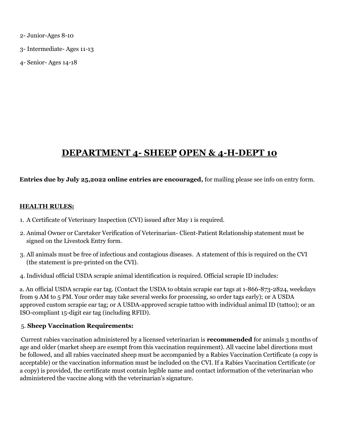- 2- Junior-Ages 8-10
- 3- Intermediate- Ages 11-13
- 4- Senior- Ages 14-18

### **DEPARTMENT 4- SHEEP OPEN & 4-H-DEPT 10**

#### **Entries due by July 25,2022 online entries are encouraged,** for mailing please see info on entry form.

#### **HEALTH RULES:**

- 1. A Certificate of Veterinary Inspection (CVI) issued after May 1 is required.
- 2. Animal Owner or Caretaker Verification of Veterinarian- Client-Patient Relationship statement must be signed on the Livestock Entry form.
- 3. All animals must be free of infectious and contagious diseases. A statement of this is required on the CVI (the statement is pre-printed on the CVI).
- 4. Individual official USDA scrapie animal identification is required. Official scrapie ID includes:

a. An official USDA scrapie ear tag. (Contact the USDA to obtain scrapie ear tags at 1-866-873-2824, weekdays from 9 AM to 5 PM. Your order may take several weeks for processing, so order tags early); or A USDA approved custom scrapie ear tag; or A USDA-approved scrapie tattoo with individual animal ID (tattoo); or an ISO-compliant 15-digit ear tag (including RFID).

#### 5. **Sheep Vaccination Requirements:**

Current rabies vaccination administered by a licensed veterinarian is **recommended** for animals 3 months of age and older (market sheep are exempt from this vaccination requirement). All vaccine label directions must be followed, and all rabies vaccinated sheep must be accompanied by a Rabies Vaccination Certificate (a copy is acceptable) or the vaccination information must be included on the CVI. If a Rabies Vaccination Certificate (or a copy) is provided, the certificate must contain legible name and contact information of the veterinarian who administered the vaccine along with the veterinarian's signature.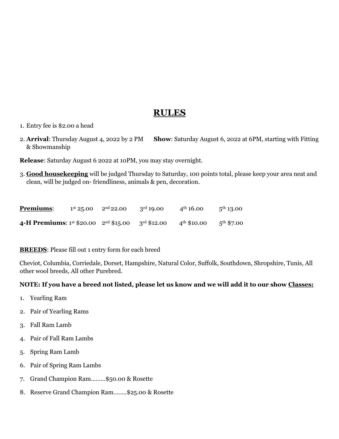### **RULES**

1. Entry fee is \$2.00 a head

2. **Arrival**: Thursday August 4, 2022 by 2 PM **Show**: Saturday August 6, 2022 at 6PM, starting with Fitting & Showmanship

**Release**: Saturday August 6 2022 at 10PM, you may stay overnight.

3. **Good housekeeping** will be judged Thursday to Saturday, 100 points total, please keep your area neat and clean, will be judged on- friendliness, animals & pen, decoration.

| <b>Premiums:</b>                                | $1st 25.00$ $2nd 22.00$ | $3^{\rm rd} 19.00$   | $4^{\text{th}} 16.00$ | $5^{\text{th}}$ 13.00  |
|-------------------------------------------------|-------------------------|----------------------|-----------------------|------------------------|
| 4-H Premiums: $1^{st}$ \$20.00 $2^{nd}$ \$15.00 |                         | $3^{\rm rd}$ \$12.00 | $4^{th}$ \$10.00      | $5^{\text{th}}$ \$7.00 |

#### **BREEDS**: Please fill out 1 entry form for each breed

Cheviot, Columbia, Corriedale, Dorset, Hampshire, Natural Color, Suffolk, Southdown, Shropshire, Tunis, All other wool breeds, All other Purebred.

#### **NOTE: If you have a breed not listed, please let us know and we will add it to our show Classes:**

- 1. Yearling Ram
- 2. Pair of Yearling Rams
- 3. Fall Ram Lamb
- 4. Pair of Fall Ram Lambs
- 5. Spring Ram Lamb
- 6. Pair of Spring Ram Lambs
- 7. Grand Champion Ram………\$50.00 & Rosette
- 8. Reserve Grand Champion Ram……..\$25.00 & Rosette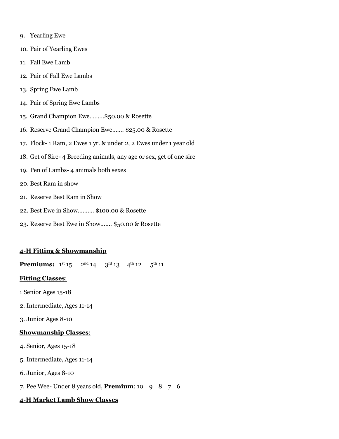- 9. Yearling Ewe
- 10. Pair of Yearling Ewes
- 11. Fall Ewe Lamb
- 12. Pair of Fall Ewe Lambs
- 13. Spring Ewe Lamb
- 14. Pair of Spring Ewe Lambs
- 15. Grand Champion Ewe………\$50.00 & Rosette
- 16. Reserve Grand Champion Ewe……. \$25.00 & Rosette
- 17. Flock- 1 Ram, 2 Ewes 1 yr. & under 2, 2 Ewes under 1 year old
- 18. Get of Sire- 4 Breeding animals, any age or sex, get of one sire
- 19. Pen of Lambs- 4 animals both sexes
- 20. Best Ram in show
- 21. Reserve Best Ram in Show
- 22. Best Ewe in Show………. \$100.00 & Rosette
- 23. Reserve Best Ewe in Show……. \$50.00 & Rosette

#### **4-H Fitting & Showmanship**

**Premiums:**  $1^{st} 15$   $2^{nd} 14$   $3^{rd} 13$   $4^{th} 12$   $5^{th} 11$ 

#### **Fitting Classes**:

- 1 Senior Ages 15-18
- 2. Intermediate, Ages 11-14
- 3. Junior Ages 8-10

#### **Showmanship Classes**:

- 4. Senior, Ages 15-18
- 5. Intermediate, Ages 11-14
- 6. Junior, Ages 8-10
- 7. Pee Wee- Under 8 years old, **Premium**: 10 9 8 7 6

#### **4-H Market Lamb Show Classes**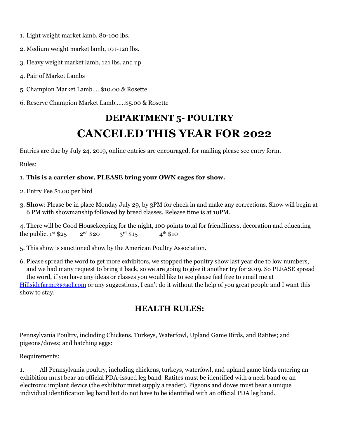- 1. Light weight market lamb, 80-100 lbs.
- 2. Medium weight market lamb, 101-120 lbs.
- 3. Heavy weight market lamb, 121 lbs. and up
- 4. Pair of Market Lambs
- 5. Champion Market Lamb…. \$10.00 & Rosette
- 6. Reserve Champion Market Lamb……\$5.00 & Rosette

## **DEPARTMENT 5- POULTRY CANCELED THIS YEAR FOR 2022**

Entries are due by July 24, 2019, online entries are encouraged, for mailing please see entry form.

Rules:

### 1. **This is a carrier show, PLEASE bring your OWN cages for show.**

- 2. Entry Fee \$1.00 per bird
- 3. **Show**: Please be in place Monday July 29, by 3PM for check in and make any corrections. Show will begin at 6 PM with showmanship followed by breed classes. Release time is at 10PM.

4. There will be Good Housekeeping for the night, 100 points total for friendliness, decoration and educating the public. 1st \$25  $2^{nd}$  \$20  $3^{rd}$  \$15  $4^{th}$  \$10

5. This show is sanctioned show by the American Poultry Association.

6. Please spread the word to get more exhibitors, we stopped the poultry show last year due to low numbers, and we had many request to bring it back, so we are going to give it another try for 2019. So PLEASE spread the word, if you have any ideas or classes you would like to see please feel free to email me at Hillsidefarm13@aol.com or any suggestions, I can't do it without the help of you great people and I want this show to stay.

### **HEALTH RULES:**

Pennsylvania Poultry, including Chickens, Turkeys, Waterfowl, Upland Game Birds, and Ratites; and pigeons/doves; and hatching eggs:

Requirements:

1. All Pennsylvania poultry, including chickens, turkeys, waterfowl, and upland game birds entering an exhibition must bear an official PDA-issued leg band. Ratites must be identified with a neck band or an electronic implant device (the exhibitor must supply a reader). Pigeons and doves must bear a unique individual identification leg band but do not have to be identified with an official PDA leg band.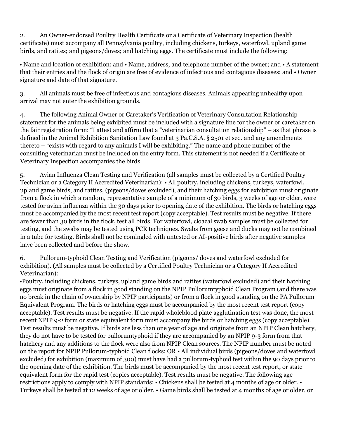2. An Owner-endorsed Poultry Health Certificate or a Certificate of Veterinary Inspection (health certificate) must accompany all Pennsylvania poultry, including chickens, turkeys, waterfowl, upland game birds, and ratites; and pigeons/doves; and hatching eggs. The certificate must include the following:

• Name and location of exhibition; and • Name, address, and telephone number of the owner; and • A statement that their entries and the flock of origin are free of evidence of infectious and contagious diseases; and • Owner signature and date of that signature.

3. All animals must be free of infectious and contagious diseases. Animals appearing unhealthy upon arrival may not enter the exhibition grounds.

4. The following Animal Owner or Caretaker's Verification of Veterinary Consultation Relationship statement for the animals being exhibited must be included with a signature line for the owner or caretaker on the fair registration form: "I attest and affirm that a "veterinarian consultation relationship" – as that phrase is defined in the Animal Exhibition Sanitation Law found at 3 Pa.C.S.A. § 2501 et seq. and any amendments thereto – "exists with regard to any animals I will be exhibiting." The name and phone number of the consulting veterinarian must be included on the entry form. This statement is not needed if a Certificate of Veterinary Inspection accompanies the birds.

5. Avian Influenza Clean Testing and Verification (all samples must be collected by a Certified Poultry Technician or a Category II Accredited Veterinarian): • All poultry, including chickens, turkeys, waterfowl, upland game birds, and ratites, (pigeons/doves excluded), and their hatching eggs for exhibition must originate from a flock in which a random, representative sample of a minimum of 30 birds, 3 weeks of age or older, were tested for avian influenza within the 30 days prior to opening date of the exhibition. The birds or hatching eggs must be accompanied by the most recent test report (copy acceptable). Test results must be negative. If there are fewer than 30 birds in the flock, test all birds. For waterfowl, cloacal swab samples must be collected for testing, and the swabs may be tested using PCR techniques. Swabs from geese and ducks may not be combined in a tube for testing. Birds shall not be comingled with untested or AI-positive birds after negative samples have been collected and before the show.

6. Pullorum-typhoid Clean Testing and Verification (pigeons/ doves and waterfowl excluded for exhibition). (All samples must be collected by a Certified Poultry Technician or a Category II Accredited Veterinarian):

•Poultry, including chickens, turkeys, upland game birds and ratites (waterfowl excluded) and their hatching eggs must originate from a flock in good standing on the NPIP Pullorumtyphoid Clean Program (and there was no break in the chain of ownership by NPIP participants) or from a flock in good standing on the PA Pullorum Equivalent Program. The birds or hatching eggs must be accompanied by the most recent test report (copy acceptable). Test results must be negative. If the rapid wholeblood plate agglutination test was done, the most recent NPIP 9-2 form or state equivalent form must accompany the birds or hatching eggs (copy acceptable). Test results must be negative. If birds are less than one year of age and originate from an NPIP Clean hatchery, they do not have to be tested for pullorumtyphoid if they are accompanied by an NPIP 9-3 form from that hatchery and any additions to the flock were also from NPIP Clean sources. The NPIP number must be noted on the report for NPIP Pullorum-typhoid Clean flocks; OR • All individual birds (pigeons/doves and waterfowl excluded) for exhibition (maximum of 300) must have had a pullorum-typhoid test within the 90 days prior to the opening date of the exhibition. The birds must be accompanied by the most recent test report, or state equivalent form for the rapid test (copies acceptable). Test results must be negative. The following age restrictions apply to comply with NPIP standards: • Chickens shall be tested at 4 months of age or older. • Turkeys shall be tested at 12 weeks of age or older. • Game birds shall be tested at 4 months of age or older, or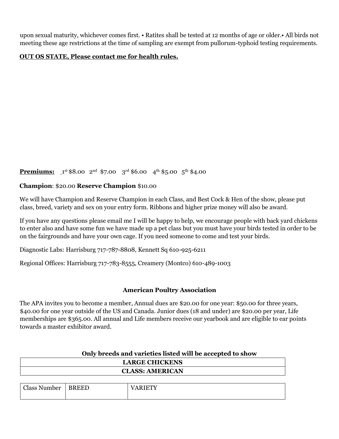upon sexual maturity, whichever comes first. • Ratites shall be tested at 12 months of age or older.• All birds not meeting these age restrictions at the time of sampling are exempt from pullorum-typhoid testing requirements.

### **OUT OS STATE, Please contact me for health rules.**

#### **Premiums:**  $1^{st}$  \$8.00  $2^{nd}$  \$7.00  $3^{rd}$  \$6.00  $4^{th}$  \$5.00  $5^{th}$  \$4.00

### **Champion**: \$20.00 **Reserve Champion** \$10.00

We will have Champion and Reserve Champion in each Class, and Best Cock & Hen of the show, please put class, breed, variety and sex on your entry form. Ribbons and higher prize money will also be award.

If you have any questions please email me I will be happy to help, we encourage people with back yard chickens to enter also and have some fun we have made up a pet class but you must have your birds tested in order to be on the fairgrounds and have your own cage. If you need someone to come and test your birds.

Diagnostic Labs: Harrisburg 717-787-8808, Kennett Sq 610-925-6211

Regional Offices: Harrisburg 717-783-8555, Creamery (Montco) 610-489-1003

#### **American Poultry Association**

The APA invites you to become a member, Annual dues are \$20.00 for one year: \$50.00 for three years, \$40.00 for one year outside of the US and Canada. Junior dues (18 and under) are \$20.00 per year, Life memberships are \$365.00. All annual and Life members receive our yearbook and are eligible to ear points towards a master exhibitor award.

#### **Only breeds and varieties listed will be accepted to show**

| <b>LARGE CHICKENS</b>  |
|------------------------|
| <b>CLASS: AMERICAN</b> |
|                        |

| Class Number | <b>EED</b><br>-RR | <b>CETW</b> |
|--------------|-------------------|-------------|
|              |                   |             |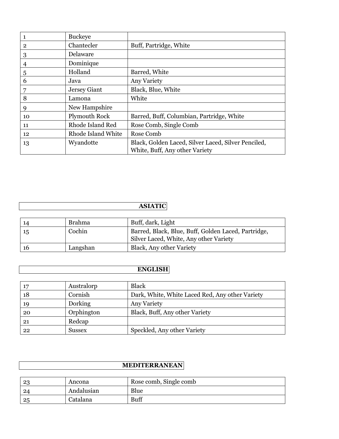|                | <b>Buckeye</b>     |                                                                                       |
|----------------|--------------------|---------------------------------------------------------------------------------------|
| $\overline{2}$ | Chantecler         | Buff, Partridge, White                                                                |
| 3              | Delaware           |                                                                                       |
| 4              | Dominique          |                                                                                       |
| 5              | Holland            | Barred, White                                                                         |
| 6              | Java               | Any Variety                                                                           |
| 7              | Jersey Giant       | Black, Blue, White                                                                    |
| 8              | Lamona             | White                                                                                 |
| 9              | New Hampshire      |                                                                                       |
| 10             | Plymouth Rock      | Barred, Buff, Columbian, Partridge, White                                             |
| 11             | Rhode Island Red   | Rose Comb, Single Comb                                                                |
| 12             | Rhode Island White | Rose Comb                                                                             |
| 13             | Wyandotte          | Black, Golden Laced, Silver Laced, Silver Penciled,<br>White, Buff, Any other Variety |

### **ASIATIC**

| 14 | Brahma   | Buff, dark, Light                                   |
|----|----------|-----------------------------------------------------|
| 15 | Cochin   | Barred, Black, Blue, Buff, Golden Laced, Partridge, |
|    |          | Silver Laced, White, Any other Variety              |
| 16 | Langshan | Black, Any other Variety                            |

### **ENGLISH**

| 17 | Australorp    | <b>Black</b>                                    |
|----|---------------|-------------------------------------------------|
| 18 | Cornish       | Dark, White, White Laced Red, Any other Variety |
| 19 | Dorking       | <b>Any Variety</b>                              |
| 20 | Orphington    | Black, Buff, Any other Variety                  |
| 21 | Redcap        |                                                 |
| 22 | <b>Sussex</b> | Speckled, Any other Variety                     |

### **MEDITERRANEAN**

| -23 | Ancona     | Rose comb, Single comb |
|-----|------------|------------------------|
| -24 | Andalusian | Blue                   |
| 25  | Catalana   | <b>Buff</b>            |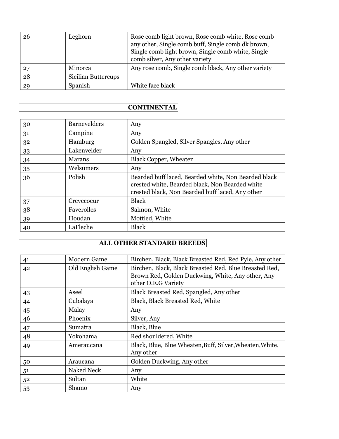| 26 | Leghorn             | Rose comb light brown, Rose comb white, Rose comb<br>any other, Single comb buff, Single comb dk brown,<br>Single comb light brown, Single comb white, Single<br>comb silver, Any other variety |
|----|---------------------|-------------------------------------------------------------------------------------------------------------------------------------------------------------------------------------------------|
| 27 | Minorca             | Any rose comb, Single comb black, Any other variety                                                                                                                                             |
| 28 | Sicilian Buttercups |                                                                                                                                                                                                 |
| 29 | Spanish             | White face black                                                                                                                                                                                |

### **CONTINENTAL**

| 30 | <b>Barnevelders</b> | Any                                                                                                                                                         |
|----|---------------------|-------------------------------------------------------------------------------------------------------------------------------------------------------------|
| 31 | Campine             | Any                                                                                                                                                         |
| 32 | Hamburg             | Golden Spangled, Silver Spangles, Any other                                                                                                                 |
| 33 | Lakenvelder         | Any                                                                                                                                                         |
| 34 | <b>Marans</b>       | <b>Black Copper, Wheaten</b>                                                                                                                                |
| 35 | Welsumers           | Any                                                                                                                                                         |
| 36 | Polish              | Bearded buff laced, Bearded white, Non Bearded black<br>crested white, Bearded black, Non Bearded white<br>crested black, Non Bearded buff laced, Any other |
| 37 | Crevecoeur          | <b>Black</b>                                                                                                                                                |
| 38 | Faverolles          | Salmon, White                                                                                                                                               |
| 39 | Houdan              | Mottled, White                                                                                                                                              |
| 40 | LaFleche            | <b>Black</b>                                                                                                                                                |

### **ALL OTHER STANDARD BREEDS**

| 41 | Modern Game      | Birchen, Black, Black Breasted Red, Red Pyle, Any other                                                                            |
|----|------------------|------------------------------------------------------------------------------------------------------------------------------------|
| 42 | Old English Game | Birchen, Black, Black Breasted Red, Blue Breasted Red,<br>Brown Red, Golden Duckwing, White, Any other, Any<br>other O.E.G Variety |
| 43 | Aseel            | Black Breasted Red, Spangled, Any other                                                                                            |
| 44 | Cubalaya         | Black, Black Breasted Red, White                                                                                                   |
| 45 | Malay            | Any                                                                                                                                |
| 46 | Phoenix          | Silver, Any                                                                                                                        |
| 47 | Sumatra          | Black, Blue                                                                                                                        |
| 48 | Yokohama         | Red shouldered, White                                                                                                              |
| 49 | Ameraucana       | Black, Blue, Blue Wheaten, Buff, Silver, Wheaten, White,<br>Any other                                                              |
| 50 | Araucana         | Golden Duckwing, Any other                                                                                                         |
| 51 | Naked Neck       | Any                                                                                                                                |
| 52 | Sultan           | White                                                                                                                              |
| 53 | Shamo            | Any                                                                                                                                |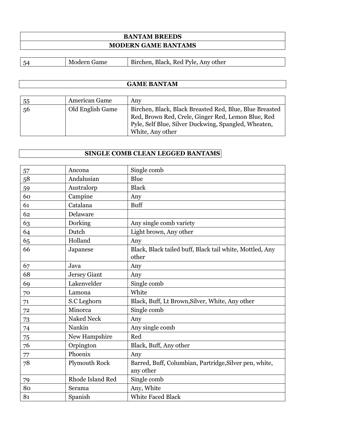### **BANTAM BREEDS MODERN GAME BANTAMS**

| Birchen, Black, Red Pyle, Any other<br>Modern Game<br>54 |
|----------------------------------------------------------|
|----------------------------------------------------------|

#### **GAME BANTAM**

| 55 | American Game    | Any                                                     |
|----|------------------|---------------------------------------------------------|
| 56 | Old English Game | Birchen, Black, Black Breasted Red, Blue, Blue Breasted |
|    |                  | Red, Brown Red, Crele, Ginger Red, Lemon Blue, Red      |
|    |                  | Pyle, Self Blue, Silver Duckwing, Spangled, Wheaten,    |
|    |                  | White, Any other                                        |

### **SINGLE COMB CLEAN LEGGED BANTAMS**

| 57 | Ancona            | Single comb                                                         |
|----|-------------------|---------------------------------------------------------------------|
| 58 | Andalusian        | Blue                                                                |
| 59 | Australorp        | <b>Black</b>                                                        |
| 60 | Campine           | Any                                                                 |
| 61 | Catalana          | <b>Buff</b>                                                         |
| 62 | Delaware          |                                                                     |
| 63 | Dorking           | Any single comb variety                                             |
| 64 | Dutch             | Light brown, Any other                                              |
| 65 | Holland           | Any                                                                 |
| 66 | Japanese          | Black, Black tailed buff, Black tail white, Mottled, Any            |
|    |                   | other                                                               |
| 67 | Java              | Any                                                                 |
| 68 | Jersey Giant      | Any                                                                 |
| 69 | Lakenvelder       | Single comb                                                         |
| 70 | Lamona            | White                                                               |
| 71 | S.C Leghorn       | Black, Buff, Lt Brown, Silver, White, Any other                     |
| 72 | Minorca           | Single comb                                                         |
| 73 | <b>Naked Neck</b> | Any                                                                 |
| 74 | Nankin            | Any single comb                                                     |
| 75 | New Hampshire     | Red                                                                 |
| 76 | Orpington         | Black, Buff, Any other                                              |
| 77 | Phoenix           | Any                                                                 |
| 78 | Plymouth Rock     | Barred, Buff, Columbian, Partridge, Silver pen, white,<br>any other |
| 79 | Rhode Island Red  | Single comb                                                         |
| 80 | Serama            | Any, White                                                          |
| 81 | Spanish           | <b>White Faced Black</b>                                            |
|    |                   |                                                                     |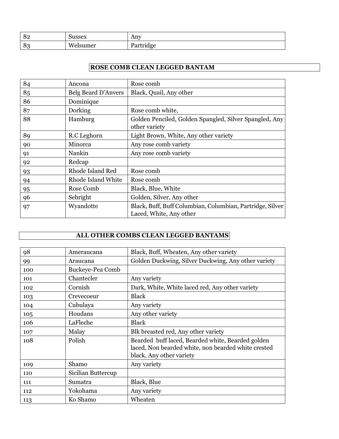| $\mathbf{Q}$<br>$O\angle$ | 1000x<br>--<br>эсл                | Anv                         |
|---------------------------|-----------------------------------|-----------------------------|
| $\Omega$ o<br>. v. .      | <b>TAT</b><br>mar<br>$\mathbf{M}$ | $\sim$<br>$\ldots$ ung<br>- |

### **ROSE COMB CLEAN LEGGED BANTAM**

| 84 | Ancona              | Rose comb                                                                            |
|----|---------------------|--------------------------------------------------------------------------------------|
| 85 | Belg Beard D'Anvers | Black, Quail, Any other                                                              |
| 86 | Dominique           |                                                                                      |
| 87 | Dorking             | Rose comb white,                                                                     |
| 88 | Hamburg             | Golden Penciled, Golden Spangled, Silver Spangled, Any<br>other variety              |
| 89 | R.C Leghorn         | Light Brown, White, Any other variety                                                |
| 90 | Minorca             | Any rose comb variety                                                                |
| 91 | Nankin              | Any rose comb variety                                                                |
| 92 | Redcap              |                                                                                      |
| 93 | Rhode Island Red    | Rose comb                                                                            |
| 94 | Rhode Island White  | Rose comb                                                                            |
| 95 | Rose Comb           | Black, Blue, White                                                                   |
| 96 | Sebright            | Golden, Silver, Any other                                                            |
| 97 | Wyandotte           | Black, Buff, Buff Columbian, Columbian, Partridge, Silver<br>Laced, White, Any other |

### **ALL OTHER COMBS CLEAN LEGGED BANTAMS**

| 98  | Ameraucana         | Black, Buff, Wheaten, Any other variety                                                                  |
|-----|--------------------|----------------------------------------------------------------------------------------------------------|
| 99  | Araucana           | Golden Duckwing, Silver Duckwing, Any other variety                                                      |
| 100 | Buckeye-Pea Comb   |                                                                                                          |
| 101 | Chantecler         | Any variety                                                                                              |
| 102 | Cornish            | Dark, White, White laced red, Any other variety                                                          |
| 103 | Crevecoeur         | <b>Black</b>                                                                                             |
| 104 | Cubulaya           | Any variety                                                                                              |
| 105 | Houdans            | Any other variety                                                                                        |
| 106 | LaFleche           | <b>Black</b>                                                                                             |
| 107 | Malay              | Blk breasted red, Any other variety                                                                      |
| 108 | Polish             | Bearded buff laced, Bearded white, Bearded golden<br>laced, Non bearded white, non bearded white crested |
|     |                    | black, Any other variety                                                                                 |
| 109 | Shamo              | Any variety                                                                                              |
| 110 | Sicilian Buttercup |                                                                                                          |
| 111 | Sumatra            | Black, Blue                                                                                              |
| 112 | Yokohama           | Any variety                                                                                              |
| 113 | Ko Shamo           | Wheaten                                                                                                  |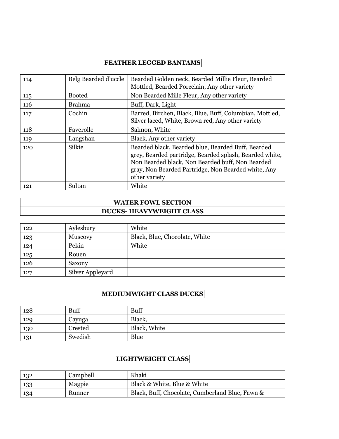### **FEATHER LEGGED BANTAMS**

| 114 | Belg Bearded d'uccle | Bearded Golden neck, Bearded Millie Fleur, Bearded<br>Mottled, Bearded Porcelain, Any other variety                                                                                                                                       |
|-----|----------------------|-------------------------------------------------------------------------------------------------------------------------------------------------------------------------------------------------------------------------------------------|
| 115 | <b>Booted</b>        | Non Bearded Mille Fleur, Any other variety                                                                                                                                                                                                |
| 116 | <b>Brahma</b>        | Buff, Dark, Light                                                                                                                                                                                                                         |
| 117 | Cochin               | Barred, Birchen, Black, Blue, Buff, Columbian, Mottled,<br>Silver laced, White, Brown red, Any other variety                                                                                                                              |
| 118 | Faverolle            | Salmon, White                                                                                                                                                                                                                             |
| 119 | Langshan             | Black, Any other variety                                                                                                                                                                                                                  |
| 120 | Silkie               | Bearded black, Bearded blue, Bearded Buff, Bearded<br>grey, Bearded partridge, Bearded splash, Bearded white,<br>Non Bearded black, Non Bearded buff, Non Bearded<br>gray, Non Bearded Partridge, Non Bearded white, Any<br>other variety |
| 121 | Sultan               | White                                                                                                                                                                                                                                     |

### **WATER FOWL SECTION DUCKS- HEAVYWEIGHT CLASS**

| 122 | Aylesbury        | White                         |
|-----|------------------|-------------------------------|
| 123 | <b>Muscovy</b>   | Black, Blue, Chocolate, White |
| 124 | Pekin            | White                         |
| 125 | Rouen            |                               |
| 126 | Saxony           |                               |
| 127 | Silver Appleyard |                               |

### **MEDIUMWIGHT CLASS DUCKS**

| 128 | <b>Buff</b> | <b>Buff</b>  |
|-----|-------------|--------------|
| 129 | Cayuga      | Black,       |
| 130 | Crested     | Black, White |
| 131 | Swedish     | Blue         |

### **LIGHTWEIGHT CLASS**

| 132  | Campbell | Khaki                                           |
|------|----------|-------------------------------------------------|
| 133  | Magpie   | Black & White, Blue & White                     |
| -134 | Runner   | Black, Buff, Chocolate, Cumberland Blue, Fawn & |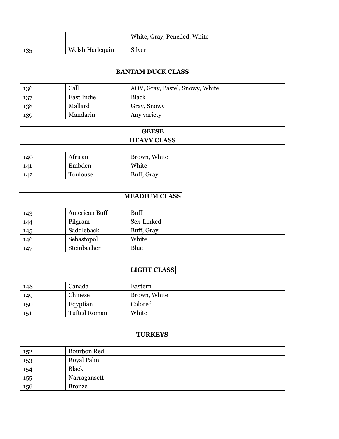|     |                 | White, Gray, Penciled, White |
|-----|-----------------|------------------------------|
| 135 | Welsh Harlequin | Silver                       |

### **BANTAM DUCK CLASS**

| 136 | Call       | AOV, Gray, Pastel, Snowy, White |  |
|-----|------------|---------------------------------|--|
| 137 | East Indie | <b>Black</b>                    |  |
| 138 | Mallard    | Gray, Snowy                     |  |
| 139 | Mandarin   | Any variety                     |  |

| AEEAE              |  |
|--------------------|--|
| <b>HEAVY CLASS</b> |  |

| 140 | African  | Brown, White |
|-----|----------|--------------|
| 141 | Embden   | White        |
| 142 | Toulouse | Buff, Gray   |

### **MEADIUM CLASS**

| 143 | American Buff | <b>Buff</b> |
|-----|---------------|-------------|
| 144 | Pilgram       | Sex-Linked  |
| 145 | Saddleback    | Buff, Gray  |
| 146 | Sebastopol    | White       |
| 147 | Steinbacher   | Blue        |

### **LIGHT CLASS**

| 148 | Canada              | Eastern      |
|-----|---------------------|--------------|
| 149 | Chinese             | Brown, White |
| 150 | Eqyptian            | Colored      |
| 151 | <b>Tufted Roman</b> | White        |

### **TURKEYS**

| 152 | Bourbon Red  |  |
|-----|--------------|--|
| 153 | Royal Palm   |  |
| 154 | Black        |  |
| 155 | Narragansett |  |
| 156 | Bronze       |  |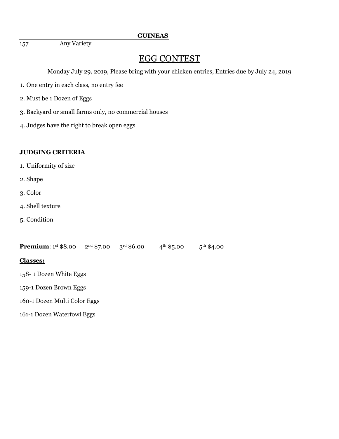**GUINEAS** 

157 Any Variety

### EGG CONTEST

Monday July 29, 2019, Please bring with your chicken entries, Entries due by July 24, 2019

- 1. One entry in each class, no entry fee
- 2. Must be 1 Dozen of Eggs
- 3. Backyard or small farms only, no commercial houses
- 4. Judges have the right to break open eggs

#### **JUDGING CRITERIA**

- 1. Uniformity of size
- 2. Shape
- 3. Color
- 4. Shell texture
- 5. Condition

**Premium**:  $1^{st}$  \$8.00  $2^{nd}$  \$7.00  $3^{rd}$  \$6.00  $4^{th}$  \$5.00  $5^{th}$  \$4.00 **Classes:** 158- 1 Dozen White Eggs 159-1 Dozen Brown Eggs 160-1 Dozen Multi Color Eggs 161-1 Dozen Waterfowl Eggs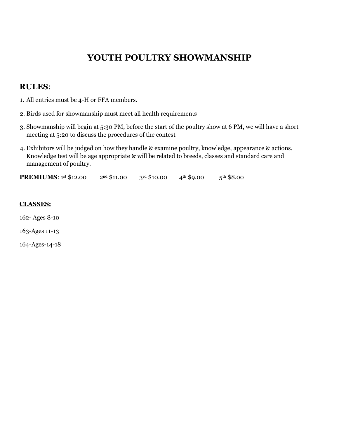### **YOUTH POULTRY SHOWMANSHIP**

### **RULES**:

- 1. All entries must be 4-H or FFA members.
- 2. Birds used for showmanship must meet all health requirements
- 3. Showmanship will begin at 5:30 PM, before the start of the poultry show at 6 PM, we will have a short meeting at 5:20 to discuss the procedures of the contest
- 4. Exhibitors will be judged on how they handle & examine poultry, knowledge, appearance & actions. Knowledge test will be age appropriate & will be related to breeds, classes and standard care and management of poultry.

**PREMIUMS**:  $1^{st}$  \$12.00  $2^{nd}$  \$11.00  $3^{rd}$  \$10.00  $4^{th}$  \$9.00 5<sup>th</sup> \$8.00

#### **CLASSES:**

162- Ages 8-10

163-Ages 11-13

164-Ages-14-18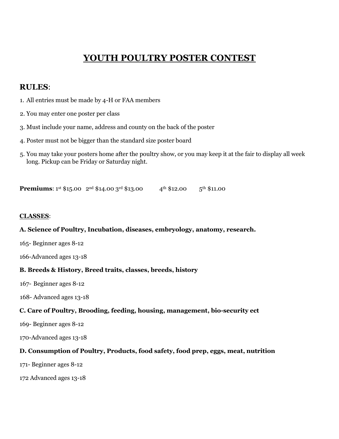### **YOUTH POULTRY POSTER CONTEST**

### **RULES**:

- 1. All entries must be made by 4-H or FAA members
- 2. You may enter one poster per class
- 3. Must include your name, address and county on the back of the poster
- 4. Poster must not be bigger than the standard size poster board
- 5. You may take your posters home after the poultry show, or you may keep it at the fair to display all week long. Pickup can be Friday or Saturday night.

**Premiums:**  $1^{st}$  \$15.00  $2^{nd}$  \$14.00  $3^{rd}$  \$13.00  $4^{th}$  \$12.00  $5^{\text{th}}$  \$11.00

#### **CLASSES**:

#### **A. Science of Poultry, Incubation, diseases, embryology, anatomy, research.**

- 165- Beginner ages 8-12
- 166-Advanced ages 13-18

#### **B. Breeds & History, Breed traits, classes, breeds, history**

- 167- Beginner ages 8-12
- 168- Advanced ages 13-18

#### **C. Care of Poultry, Brooding, feeding, housing, management, bio-security ect**

- 169- Beginner ages 8-12
- 170-Advanced ages 13-18

#### **D. Consumption of Poultry, Products, food safety, food prep, eggs, meat, nutrition**

- 171- Beginner ages 8-12
- 172 Advanced ages 13-18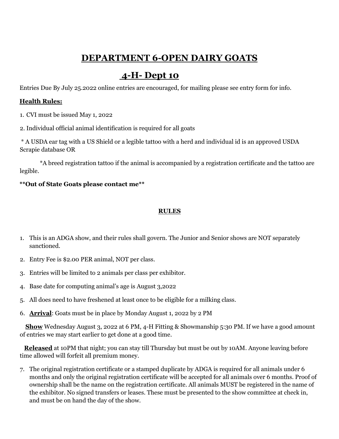### **DEPARTMENT 6-OPEN DAIRY GOATS**

### **4-H- Dept 10**

Entries Due By July 25.2022 online entries are encouraged, for mailing please see entry form for info.

### **Health Rules:**

1. CVI must be issued May 1, 2022

2. Individual official animal identification is required for all goats

\* A USDA ear tag with a US Shield or a legible tattoo with a herd and individual id is an approved USDA Scrapie database OR

\*A breed registration tattoo if the animal is accompanied by a registration certificate and the tattoo are legible.

### **\*\*Out of State Goats please contact me\*\***

### **RULES**

- 1. This is an ADGA show, and their rules shall govern. The Junior and Senior shows are NOT separately sanctioned.
- 2. Entry Fee is \$2.00 PER animal, NOT per class.
- 3. Entries will be limited to 2 animals per class per exhibitor.
- 4. Base date for computing animal's age is August 3,2022
- 5. All does need to have freshened at least once to be eligible for a milking class.
- 6. **Arrival**: Goats must be in place by Monday August 1, 2022 by 2 PM

 **Show** Wednesday August 3, 2022 at 6 PM, 4-H Fitting & Showmanship 5:30 PM. If we have a good amount of entries we may start earlier to get done at a good time.

 **Released** at 10PM that night; you can stay till Thursday but must be out by 10AM. Anyone leaving before time allowed will forfeit all premium money.

7. The original registration certificate or a stamped duplicate by ADGA is required for all animals under 6 months and only the original registration certificate will be accepted for all animals over 6 months. Proof of ownership shall be the name on the registration certificate. All animals MUST be registered in the name of the exhibitor. No signed transfers or leases. These must be presented to the show committee at check in, and must be on hand the day of the show.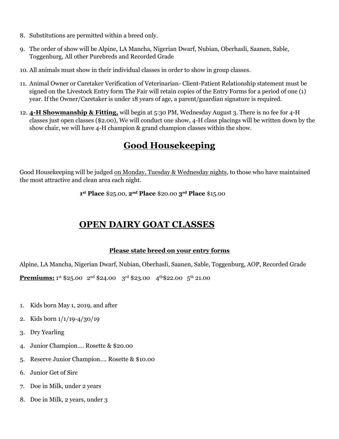- 8. Substitutions are permitted within a breed only.
- 9. The order of show will be Alpine, LA Mancha, Nigerian Dwarf, Nubian, Oberhasli, Saanen, Sable, Toggenburg, All other Purebreds and Recorded Grade
- 10. All animals must show in their individual classes in order to show in group classes.
- 11. Animal Owner or Caretaker Verification of Veterinarian- Client-Patient Relationship statement must be signed on the Livestock Entry form The Fair will retain copies of the Entry Forms for a period of one (1) year. If the Owner/Caretaker is under 18 years of age, a parent/guardian signature is required.
- 12. **4-H Showmanship & Fitting,** will begin at 5:30 PM, Wednesday August 3. There is no fee for 4-H classes just open classes (\$2.00), We will conduct one show, 4-H class placings will be written down by the show chair, we will have 4-H champion & grand champion classes within the show.

### **Good Housekeeping**

Good Housekeeping will be judged on Monday, Tuesday & Wednesday nights, to those who have maintained the most attractive and clean area each night.

**1 st Place** \$25.00, **2nd Place** \$20.00 **3rd Place** \$15.00

### **OPEN DAIRY GOAT CLASSES**

### **Please state breed on your entry forms**

Alpine, LA Mancha, Nigerian Dwarf, Nubian, Oberhasli, Saanen, Sable, Toggenburg, AOP, Recorded Grade

**Premiums:** 1<sup>st</sup> \$25.00 2<sup>nd</sup> \$24.00 3<sup>rd</sup> \$23.00 4<sup>th</sup>\$22.00 5<sup>th</sup> 21.00

- 1. Kids born May 1, 2019, and after
- 2. Kids born 1/1/19-4/30/19
- 3. Dry Yearling
- 4. Junior Champion…. Rosette & \$20.00
- 5. Reserve Junior Champion…. Rosette & \$10.00
- 6. Junior Get of Sire
- 7. Doe in Milk, under 2 years
- 8. Doe in Milk, 2 years, under 3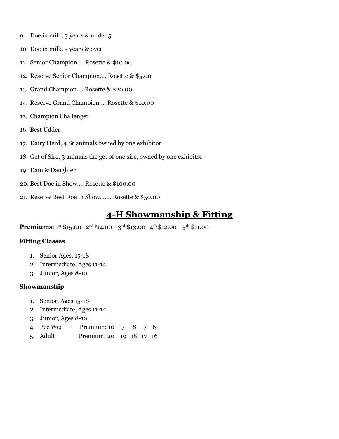- 9. Doe in milk, 3 years & under 5
- 10. Doe in milk, 5 years & over
- 11. Senior Champion…. Rosette & \$10.00
- 12. Reserve Senior Champion…. Rosette & \$5.00
- 13. Grand Champion…. Rosette & \$20.00
- 14. Reserve Grand Champion…. Rosette & \$10.00
- 15. Champion Challenger
- 16. Best Udder
- 17. Dairy Herd, 4 Sr animals owned by one exhibitor
- 18. Get of Sire, 3 animals the get of one sire, owned by one exhibitor
- 19. Dam & Daughter
- 20. Best Doe in Show…. Rosette & \$100.00
- 21. Reserve Best Doe in Show……. Rosette & \$50.00

### **4-H Showmanship & Fitting**

**Premiums**: 1st \$15.00 2<sup>nd \$</sup>14.00 3<sup>rd</sup> \$13.00 4<sup>th</sup> \$12.00 5<sup>th</sup> \$11.00

#### **Fitting Classes**

- 1. Senior Ages, 15-18
- 2. Intermediate, Ages 11-14
- 3. Junior, Ages 8-10

#### **Showmanship**

- 1. Senior, Ages 15-18
- 2. Intermediate, Ages 11-14
- 3. Junior, Ages 8-10
- 4. Pee Wee Premium: 10 9 8 7 6
- 5. Adult Premium: 20 19 18 17 16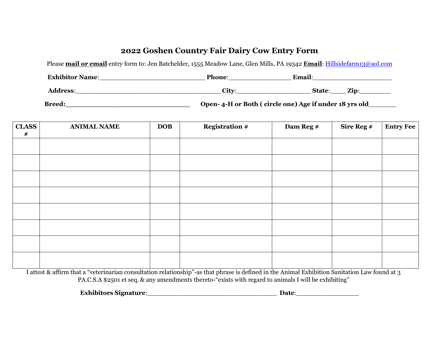### **2022 Goshen Country Fair Dairy Cow Entry Form**

Please **mail or email** entry form to: Jen Batchelder, 1555 Meadow Lane, Glen Mills, PA 19342 **Email**: Hillsidefarm13@aol.com

| <b>Exhibitor Name:</b> | <b>Phone:</b>       | Email         |
|------------------------|---------------------|---------------|
| <b>Address:</b>        | $\gamma$ it.<br>◡ェい | Zip<br>State: |

Breed: **Breed:** Open-4-H or Both ( circle one) Age if under 18 yrs old

| <b>CLASS</b><br># | <b>ANIMAL NAME</b> | <b>DOB</b> | <b>Registration #</b> | Dam Reg # | Sire Reg # | <b>Entry Fee</b> |
|-------------------|--------------------|------------|-----------------------|-----------|------------|------------------|
|                   |                    |            |                       |           |            |                  |
|                   |                    |            |                       |           |            |                  |
|                   |                    |            |                       |           |            |                  |
|                   |                    |            |                       |           |            |                  |
|                   |                    |            |                       |           |            |                  |
|                   |                    |            |                       |           |            |                  |
|                   |                    |            |                       |           |            |                  |
|                   |                    |            |                       |           |            |                  |

I attest & affirm that a "veterinarian consultation relationship"-as that phrase is defined in the Animal Exhibition Sanitation Law found at 3 PA.C.S.A \$2501 et seq. & any amendments thereto-"exists with regard to animals I will be exhibiting"

**Exhibitors Signature**:\_\_\_\_\_\_\_\_\_\_\_\_\_\_\_\_\_\_\_\_\_\_\_\_\_\_\_\_\_\_\_\_\_ **Date**:\_\_\_\_\_\_\_\_\_\_\_\_\_\_\_\_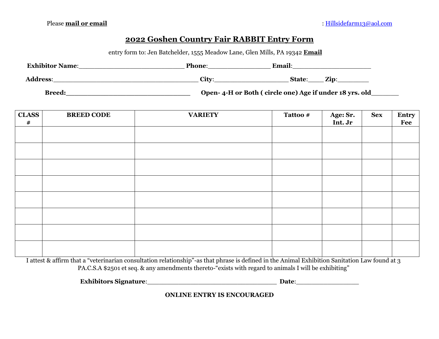### **2022 Goshen Country Fair RABBIT Entry Form**

entry form to: Jen Batchelder, 1555 Meadow Lane, Glen Mills, PA 19342 **Email**

| <b>Exhibitor Name:</b> | <b>Phone:</b> | <b>Email:</b>                                            |
|------------------------|---------------|----------------------------------------------------------|
| <b>Address:</b>        | <b>City:</b>  | Zin<br>State:                                            |
| <b>Breed:</b>          |               | Open- 4-H or Both (circle one) Age if under 18 yrs. old_ |

| <b>CLASS</b><br>$\#$ | <b>BREED CODE</b> | <b>VARIETY</b> | Tattoo # | Age: Sr.<br>Int. Jr | <b>Sex</b> | <b>Entry</b><br><b>Fee</b> |
|----------------------|-------------------|----------------|----------|---------------------|------------|----------------------------|
|                      |                   |                |          |                     |            |                            |
|                      |                   |                |          |                     |            |                            |
|                      |                   |                |          |                     |            |                            |
|                      |                   |                |          |                     |            |                            |
|                      |                   |                |          |                     |            |                            |
|                      |                   |                |          |                     |            |                            |
|                      |                   |                |          |                     |            |                            |
|                      |                   |                |          |                     |            |                            |

I attest & affirm that a "veterinarian consultation relationship"-as that phrase is defined in the Animal Exhibition Sanitation Law found at 3 PA.C.S.A \$2501 et seq. & any amendments thereto-"exists with regard to animals I will be exhibiting"

**Exhibitors Signature**:\_\_\_\_\_\_\_\_\_\_\_\_\_\_\_\_\_\_\_\_\_\_\_\_\_\_\_\_\_\_\_\_\_ **Date**:\_\_\_\_\_\_\_\_\_\_\_\_\_\_\_\_

**ONLINE ENTRY IS ENCOURAGED**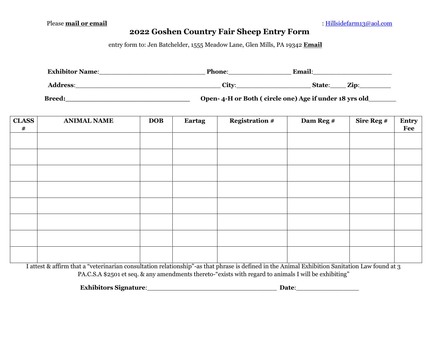Please **mail or email** : Hillsidefarm13@aol.com

### **2022 Goshen Country Fair Sheep Entry Form**

entry form to: Jen Batchelder, 1555 Meadow Lane, Glen Mills, PA 19342 **Email**

| <b>Exhibitor Name:</b> | <b>Phone:</b> | <b>Email</b>   |
|------------------------|---------------|----------------|
| <b>Address:</b>        | City          | 7in.<br>State: |

**Breed:\_\_\_\_\_\_\_\_\_\_\_\_\_\_\_\_\_\_\_\_\_\_\_\_\_\_\_\_\_ Open- 4-H or Both ( circle one) Age if under 18 yrs old**\_\_\_\_\_\_\_

| <b>CLASS</b><br>$\#$ | <b>ANIMAL NAME</b> | <b>DOB</b> | <b>Eartag</b> | <b>Registration #</b> | Dam Reg # | Sire Reg # | Entry<br>Fee |
|----------------------|--------------------|------------|---------------|-----------------------|-----------|------------|--------------|
|                      |                    |            |               |                       |           |            |              |
|                      |                    |            |               |                       |           |            |              |
|                      |                    |            |               |                       |           |            |              |
|                      |                    |            |               |                       |           |            |              |
|                      |                    |            |               |                       |           |            |              |
|                      |                    |            |               |                       |           |            |              |
|                      |                    |            |               |                       |           |            |              |
|                      |                    |            |               |                       |           |            |              |

I attest & affirm that a "veterinarian consultation relationship"-as that phrase is defined in the Animal Exhibition Sanitation Law found at 3 PA.C.S.A \$2501 et seq. & any amendments thereto-"exists with regard to animals I will be exhibiting"

**Exhibitors Signature**:\_\_\_\_\_\_\_\_\_\_\_\_\_\_\_\_\_\_\_\_\_\_\_\_\_\_\_\_\_\_\_\_\_ **Date**:\_\_\_\_\_\_\_\_\_\_\_\_\_\_\_\_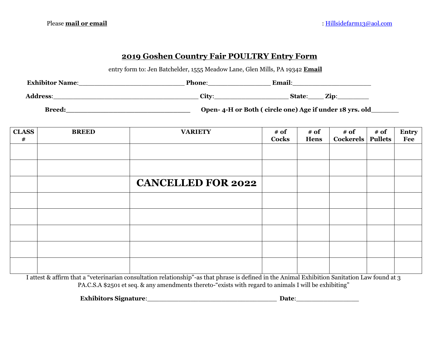### **2019 Goshen Country Fair POULTRY Entry Form**

entry form to: Jen Batchelder, 1555 Meadow Lane, Glen Mills, PA 19342 **Email**

| <b>Exhibitor Name:</b> | <b>Phone:</b> | <b>Email:</b>                                          |
|------------------------|---------------|--------------------------------------------------------|
| <b>Address:</b>        | <b>City:</b>  | Zin<br>State:                                          |
| <b>Breed:</b>          |               | Open-4-H or Both (circle one) Age if under 18 yrs. old |

| <b>CLASS</b><br>$\#$ | <b>BREED</b> | <b>VARIETY</b>            | # of<br><b>Cocks</b> | # of<br>Hens | # of<br><b>Cockerels</b> | # of<br><b>Pullets</b> | Entry<br>Fee |
|----------------------|--------------|---------------------------|----------------------|--------------|--------------------------|------------------------|--------------|
|                      |              |                           |                      |              |                          |                        |              |
|                      |              |                           |                      |              |                          |                        |              |
|                      |              | <b>CANCELLED FOR 2022</b> |                      |              |                          |                        |              |
|                      |              |                           |                      |              |                          |                        |              |
|                      |              |                           |                      |              |                          |                        |              |
|                      |              |                           |                      |              |                          |                        |              |
|                      |              |                           |                      |              |                          |                        |              |
|                      |              |                           |                      |              |                          |                        |              |

I attest & affirm that a "veterinarian consultation relationship"-as that phrase is defined in the Animal Exhibition Sanitation Law found at 3 PA.C.S.A \$2501 et seq. & any amendments thereto-"exists with regard to animals I will be exhibiting"

**Exhibitors Signature**:\_\_\_\_\_\_\_\_\_\_\_\_\_\_\_\_\_\_\_\_\_\_\_\_\_\_\_\_\_\_\_\_\_ **Date**:\_\_\_\_\_\_\_\_\_\_\_\_\_\_\_\_